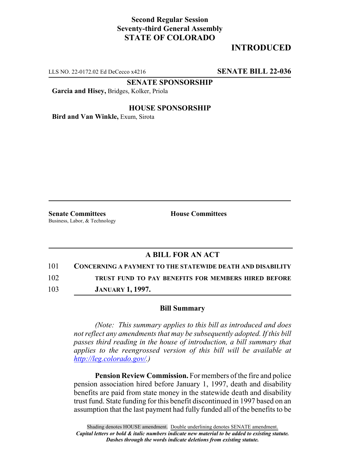## **Second Regular Session Seventy-third General Assembly STATE OF COLORADO**

# **INTRODUCED**

LLS NO. 22-0172.02 Ed DeCecco x4216 **SENATE BILL 22-036**

**SENATE SPONSORSHIP**

**Garcia and Hisey,** Bridges, Kolker, Priola

#### **HOUSE SPONSORSHIP**

**Bird and Van Winkle,** Exum, Sirota

**Senate Committees House Committees** Business, Labor, & Technology

### **A BILL FOR AN ACT**

101 **CONCERNING A PAYMENT TO THE STATEWIDE DEATH AND DISABILITY**

102 **TRUST FUND TO PAY BENEFITS FOR MEMBERS HIRED BEFORE**

103 **JANUARY 1, 1997.**

#### **Bill Summary**

*(Note: This summary applies to this bill as introduced and does not reflect any amendments that may be subsequently adopted. If this bill passes third reading in the house of introduction, a bill summary that applies to the reengrossed version of this bill will be available at http://leg.colorado.gov/.)*

**Pension Review Commission.** For members of the fire and police pension association hired before January 1, 1997, death and disability benefits are paid from state money in the statewide death and disability trust fund. State funding for this benefit discontinued in 1997 based on an assumption that the last payment had fully funded all of the benefits to be